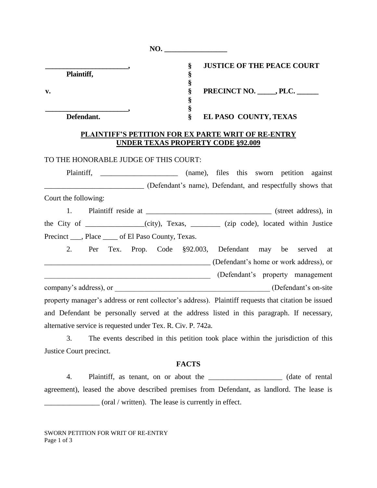| NO.                                                          |                                                                                                     |
|--------------------------------------------------------------|-----------------------------------------------------------------------------------------------------|
| Plaintiff,                                                   | $\S$<br><b>JUSTICE OF THE PEACE COURT</b><br>§                                                      |
| $\mathbf{v}$ .                                               | §<br>§<br>PRECINCT NO. PLC.<br>§                                                                    |
| Defendant.                                                   | §<br>§<br>EL PASO COUNTY, TEXAS                                                                     |
|                                                              | PLAINTIFF'S PETITION FOR EX PARTE WRIT OF RE-ENTRY<br><b>UNDER TEXAS PROPERTY CODE §92.009</b>      |
| TO THE HONORABLE JUDGE OF THIS COURT:                        |                                                                                                     |
| Plaintiff,                                                   | (name), files this sworn petition against                                                           |
|                                                              | (Defendant's name), Defendant, and respectfully shows that                                          |
| Court the following:                                         |                                                                                                     |
| 1.                                                           |                                                                                                     |
|                                                              | the City of ___________(city), Texas, ______ (zip code), located within Justice                     |
| Precinct ____, Place _____ of El Paso County, Texas.         |                                                                                                     |
| 2.<br>Tex.<br>Per                                            | Prop. Code §92.003, Defendant may be served at                                                      |
|                                                              | (Defendant's home or work address), or                                                              |
|                                                              | (Defendant's property management                                                                    |
|                                                              |                                                                                                     |
|                                                              | property manager's address or rent collector's address). Plaintiff requests that citation be issued |
|                                                              | and Defendant be personally served at the address listed in this paragraph. If necessary,           |
| alternative service is requested under Tex. R. Civ. P. 742a. |                                                                                                     |
|                                                              | 3 The events described in this petition took place within the jurisdiction of this                  |

3. The events described in this petition took place within the jurisdiction of this Justice Court precinct.

#### **FACTS**

4. Plaintiff, as tenant, on or about the \_\_\_\_\_\_\_\_\_\_\_\_\_\_\_\_\_\_\_\_ (date of rental agreement), leased the above described premises from Defendant, as landlord. The lease is \_\_\_\_\_\_\_\_\_\_\_\_\_\_\_ (oral / written). The lease is currently in effect.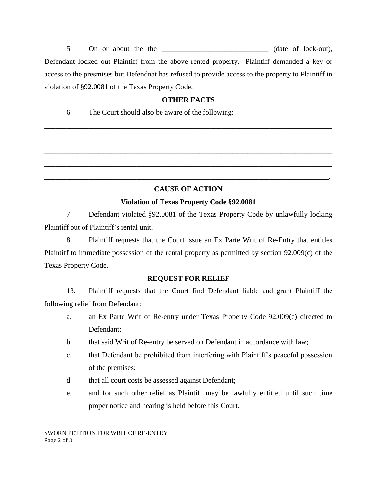5. On or about the the \_\_\_\_\_\_\_\_\_\_\_\_\_\_\_\_\_\_\_\_\_\_\_\_\_\_\_\_\_ (date of lock-out), Defendant locked out Plaintiff from the above rented property. Plaintiff demanded a key or access to the presmises but Defendnat has refused to provide access to the property to Plaintiff in violation of §92.0081 of the Texas Property Code.

### **OTHER FACTS**

\_\_\_\_\_\_\_\_\_\_\_\_\_\_\_\_\_\_\_\_\_\_\_\_\_\_\_\_\_\_\_\_\_\_\_\_\_\_\_\_\_\_\_\_\_\_\_\_\_\_\_\_\_\_\_\_\_\_\_\_\_\_\_\_\_\_\_\_\_\_\_\_\_\_\_\_\_\_

\_\_\_\_\_\_\_\_\_\_\_\_\_\_\_\_\_\_\_\_\_\_\_\_\_\_\_\_\_\_\_\_\_\_\_\_\_\_\_\_\_\_\_\_\_\_\_\_\_\_\_\_\_\_\_\_\_\_\_\_\_\_\_\_\_\_\_\_\_\_\_\_\_\_\_\_\_\_

\_\_\_\_\_\_\_\_\_\_\_\_\_\_\_\_\_\_\_\_\_\_\_\_\_\_\_\_\_\_\_\_\_\_\_\_\_\_\_\_\_\_\_\_\_\_\_\_\_\_\_\_\_\_\_\_\_\_\_\_\_\_\_\_\_\_\_\_\_\_\_\_\_\_\_\_\_\_

\_\_\_\_\_\_\_\_\_\_\_\_\_\_\_\_\_\_\_\_\_\_\_\_\_\_\_\_\_\_\_\_\_\_\_\_\_\_\_\_\_\_\_\_\_\_\_\_\_\_\_\_\_\_\_\_\_\_\_\_\_\_\_\_\_\_\_\_\_\_\_\_\_\_\_\_\_\_

\_\_\_\_\_\_\_\_\_\_\_\_\_\_\_\_\_\_\_\_\_\_\_\_\_\_\_\_\_\_\_\_\_\_\_\_\_\_\_\_\_\_\_\_\_\_\_\_\_\_\_\_\_\_\_\_\_\_\_\_\_\_\_\_\_\_\_\_\_\_\_\_\_\_\_\_\_.

6. The Court should also be aware of the following:

# **CAUSE OF ACTION**

# **Violation of Texas Property Code §92.0081**

7. Defendant violated §92.0081 of the Texas Property Code by unlawfully locking Plaintiff out of Plaintiff's rental unit.

8. Plaintiff requests that the Court issue an Ex Parte Writ of Re-Entry that entitles Plaintiff to immediate possession of the rental property as permitted by section 92.009(c) of the Texas Property Code.

#### **REQUEST FOR RELIEF**

13. Plaintiff requests that the Court find Defendant liable and grant Plaintiff the following relief from Defendant:

- a. an Ex Parte Writ of Re-entry under Texas Property Code 92.009(c) directed to Defendant;
- b. that said Writ of Re-entry be served on Defendant in accordance with law;
- c. that Defendant be prohibited from interfering with Plaintiff's peaceful possession of the premises;
- d. that all court costs be assessed against Defendant;
- e. and for such other relief as Plaintiff may be lawfully entitled until such time proper notice and hearing is held before this Court.